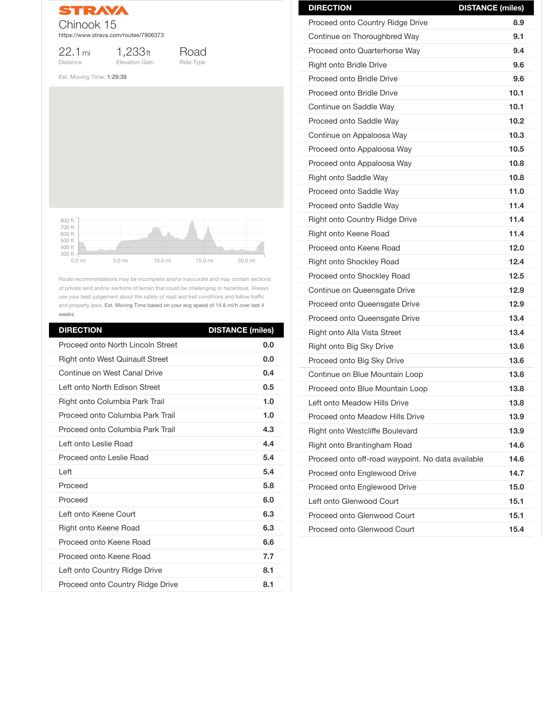

22.1mi **Distance** 

1,233ft Elevation Gain



Est. Moving Time: 1:29:39

Route recommendations may be incomplete and/or inaccurate and may contain sections of private land and/or sections of terrain that could be challenging or hazardous. Always use your best judgement about the safety of road and trail conditions and follow traffic and property laws. Est. Moving Time based on your avg speed of 14.8 mi/h over last 4 weeks

| <b>DIRECTION</b>                         | <b>DISTANCE (miles)</b> |
|------------------------------------------|-------------------------|
| <b>Proceed onto North Lincoln Street</b> | 0.0                     |
| <b>Right onto West Quinault Street</b>   | 0.0                     |
| <b>Continue on West Canal Drive</b>      | 0.4                     |
| Left onto North Edison Street            | 0.5                     |
| Right onto Columbia Park Trail           | 1.0                     |
| Proceed onto Columbia Park Trail         | 1.0                     |
| Proceed onto Columbia Park Trail         | 4.3                     |
| Left onto Leslie Road                    | 4.4                     |
| <b>Proceed onto Leslie Road</b>          | 5.4                     |
| Left                                     | 5.4                     |
| Proceed                                  | 5.8                     |
| Proceed                                  | 6.0                     |
| Left onto Keene Court                    | 6.3                     |
| Right onto Keene Road                    | 6.3                     |
| Proceed onto Keene Road                  | 6.6                     |
| Proceed onto Keene Road                  | 7.7                     |
| Left onto Country Ridge Drive            | 8.1                     |
| <b>Proceed onto Country Ridge Drive</b>  | 8.1                     |



| <b>DIRECTION</b>                        | <b>DISTANCE (miles)</b> |
|-----------------------------------------|-------------------------|
| <b>Proceed onto Country Ridge Drive</b> | 8.9                     |
| Continue on Thoroughbred Way            | 9.1                     |
| <b>Proceed onto Quarterhorse Way</b>    | 9.4                     |
| <b>Right onto Bridle Drive</b>          | 9.6                     |
| <b>Proceed onto Bridle Drive</b>        | 9.6                     |
| <b>Proceed onto Bridle Drive</b>        | 10.1                    |
| Continue on Saddle Way                  | 10.1                    |
| Proceed onto Saddle Way                 | 10.2                    |
| Continue on Appaloosa Way               | 10.3                    |
| Proceed onto Appaloosa Way              | 10.5                    |
| Proceed onto Appaloosa Way              | 10.8                    |
| <b>Right onto Saddle Way</b>            | 10.8                    |
| <b>Proceed onto Saddle Way</b>          | 11.0                    |
| <b>Proceed onto Saddle Way</b>          | 11.4                    |
| <b>Right onto Country Ridge Drive</b>   | 11.4                    |
| <b>Right onto Keene Road</b>            | 11.4                    |
| Proceed onto Keene Road                 | 12.0                    |
| <b>Right onto Shockley Road</b>         | 12.4                    |
| <b>Proceed onto Shockley Road</b>       | 12.5                    |
| Continue on Queensgate Drive            | 12.9                    |
| Proceed onto Queensgate Drive           | 12.9                    |
| <b>Proceed onto Queensgate Drive</b>    | 13.4                    |
| <b>Right onto Alla Vista Street</b>     | 13.4                    |
| <b>Right onto Big Sky Drive</b>         | 13.6                    |
| Proceed onto Big Sky Drive              | 13.6                    |
| Continue on Blue Mountain Loop          | 13.8                    |
| Proceed onto Blue Mountain Loop         | 13.8                    |
| Left onto Meadow Hills Drive            | 13.8                    |
| <b>Proceed onto Meadow Hills Drive</b>  | 13.9                    |
| <b>Right onto Westcliffe Boulevard</b>  | 13.9                    |

| <b>Right onto Brantingham Road</b>                | 14.6 |
|---------------------------------------------------|------|
| Proceed onto off-road waypoint. No data available | 14.6 |
| <b>Proceed onto Englewood Drive</b>               | 14.7 |
| <b>Proceed onto Englewood Drive</b>               | 15.0 |
| Left onto Glenwood Court                          | 15.1 |
| Proceed onto Glenwood Court                       | 15.1 |
| Proceed onto Glenwood Court                       | 15.4 |